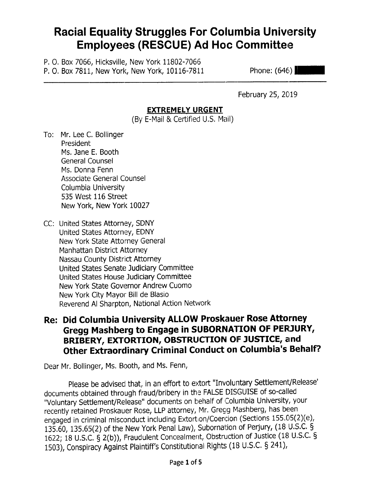## **Racial Equality Struggles For Columbia University Employees (RESCUE) Ad Hoc Committee**

P. O. Box 7066, Hicksville, New York 11802-7066 P. O. Box 7811, New York, New York, 10116-7811

Phone:  $(646)$ 

February 25, 2019

#### **EXTREMELY URGENT**

(By E-Mail & Certified U.S. Mail)

- To: Mr. Lee C. Bollinger President Ms. Jane E. Booth General Counsel Ms. Donna Fenn Associate General Counsel Columbia University 535 West 116 Street New York, New York 10027
- CC: United States Attorney, SDNY United States Attorney, EDNY New York State Attorney General Manhattan District Attorney Nassau County District Attorney United States Senate Judiciary Committee United States House Judiciary Committee New York State Governor Andrew Cuomo New York City Mayor Bill de Blasio Reverend Al Sharpton, National Action Network

#### Re: Did Columbia University ALLOW Proskauer Rose Attorney Gregg Mashberg to Engage in SUBORNATION OF PERJURY, BRIBERY, EXTORTION, OBSTRUCTION OF JUSTICE, and **Other Extraordinary Criminal Conduct on Columbia's Behalf?**

Dear Mr. Bollinger, Ms. Booth, and Ms. Fenn,

Please be advised that, in an effort to extort "Involuntary Settlement/Release' documents obtained through fraud/bribery in the FALSE DISGUISE of so-called "Voluntary Settlement/Release" documents on behalf of Columbia University, your recently retained Proskauer Rose, LLP attorney, Mr. Gregg Mashberg, has been engaged in criminal misconduct including Extortion/Coercion (Sections 155.05(2)(e), 135.60, 135.65(2) of the New York Penal Law), Subornation of Perjury, (18 U.S.C. § 1622; 18 U.S.C. § 2(b)), Fraudulent Concealment, Obstruction of Justice (18 U.S.C. § 1503), Conspiracy Against Plaintiff's Constitutional Rights (18 U.S.C. § 241),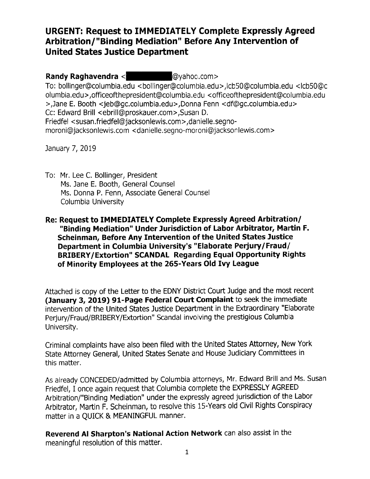#### **URGENT: Request to IMMEDIATELY Complete Expressly Agreed** Arbitration/"Binding Mediation" Before Any Intervention of **United States Justice Department**

**Randy Raghavendra** < **and Quality Randy Raghavendra** < **and Quality Randy Randy Randy Randy Randy Randy Randy Randy Randy Randy Randy Randy Randy Randy Randy Randy Randy Randy Randy Randy Randy Randy Randy Randy Randy Ran** 

To: bollinger@columbia.edu <bollinger@columbia.edu>,lcb50@columbia.edu <lcb50@c olumbia.edu>,officeofthepresident@columbia.edu <officeofthepresident@columbia.edu >, Jane E. Booth < jeb@gc.columbia.edu >, Donna Fenn < df@gc.columbia.edu > Cc: Edward Brill <ebrill@proskauer.com>,Susan D. Friedfel <susan.friedfel@jacksonlewis.com>,danielle.segnomoroni@jacksonlewis.com <danielle.segno-moroni@jacksonlewis.com>

January 7, 2019

To: Mr. Lee C. Bollinger, President Ms. Jane E. Booth, General Counsel Ms. Donna P. Fenn, Associate General Counsel Columbia University

#### Re: Request to IMMEDIATELY Complete Expressly Agreed Arbitration/ "Binding Mediation" Under Jurisdiction of Labor Arbitrator, Martin F. Scheinman, Before Any Intervention of the United States Justice Department in Columbia University's "Elaborate Perjury/Fraud/ BRIBERY/Extortion" SCANDAL Regarding Equal Opportunity Rights of Minority Employees at the 265-Years Old Ivy League

Attached is copy of the Letter to the EDNY District Court Judge and the most recent (January 3, 2019) 91-Page Federal Court Complaint to seek the immediate intervention of the United States Justice Department in the Extraordinary "Elaborate Perjury/Fraud/BRIBERY/Extortion" Scandal involving the prestigious Columbia University.

Criminal complaints have also been filed with the United States Attorney, New York State Attorney General, United States Senate and House Judiciary Committees in this matter.

As already CONCEDED/admitted by Columbia attorneys, Mr. Edward Brill and Ms. Susan Friedfel, I once again request that Columbia complete the EXPRESSLY AGREED Arbitration/"Binding Mediation" under the expressly agreed jurisdiction of the Labor Arbitrator, Martin F. Scheinman, to resolve this 15-Years old Civil Rights Conspiracy matter in a QUICK & MEANINGFUL manner.

Reverend Al Sharpton's National Action Network can also assist in the meaningful resolution of this matter.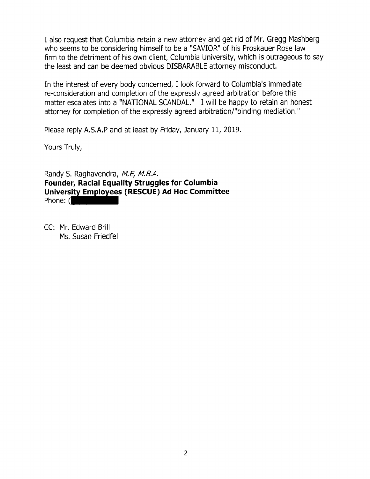I also request that Columbia retain a new attorney and get rid of Mr. Gregg Mashberg who seems to be considering himself to be a "SAVIOR" of his Proskauer Rose law firm to the detriment of his own client, Columbia University, which is outrageous to say the least and can be deemed obvious DISBAMBLE attorney misconduct.

In the interest of every body concerned, I look forward to Columbia's immediate re-consideration and completion of the expressly agreed arbitration before this matter escalates into a "NATIONAL SCANDAL." I will be happy to retain an honest attorney for completion of the expressly agreed arbitration/"binding mediation."

Please reply A.S.A.P and at least by Friday, January 11, 2019.

Yours Truly,

Randy S. Raghavendra, M.E, M.B.A. Founder, Racial Equality Struggles for Columbia University Employees (RESCUE) Ad Hoc Committee Phone: (

CC: Mr. Edward Brill Ms. Susan Friedfel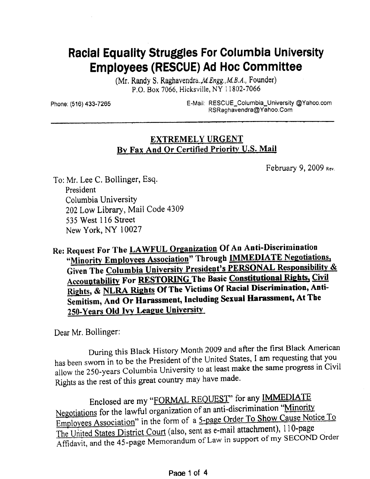# **Racial Equality Struggles For Columbia University Employees (RESCUE) Ad Hoc Committee**

(Mr. Randy S. Raghavendra, *M. Engg., M. B. A.*, Founder) P.O. Box 7066, Hicksville, NY 11802-7066

Phone: (516) 433-7265

E-Mail: RESCUE\_Columbia\_University @Yahoo.com RSRaghavendra@Yahoo.Com

#### **EXTREMELY URGENT** By Fax And Or Certified Priority U.S. Mail

February 9, 2009 Rev.

To: Mr. Lee C. Bollinger, Esq. President Columbia University 202 Low Library, Mail Code 4309 535 West 116 Street New York, NY 10027

Re: Request For The LAWFUL Organization Of An Anti-Discrimination "Minority Employees Association" Through IMMEDIATE Negotiations, Given The Columbia University President's PERSONAL Responsibility & Accountability For RESTORING The Basic Constitutional Rights, Civil Rights, & NLRA Rights Of The Victims Of Racial Discrimination, Anti-Semitism, And Or Harassment, Including Sexual Harassment, At The 250-Years Old Ivy League University

Dear Mr. Bollinger:

During this Black History Month 2009 and after the first Black American has been sworn in to be the President of the United States, I am requesting that you allow the 250-years Columbia University to at least make the same progress in Civil Rights as the rest of this great country may have made.

Enclosed are my "FORMAL REQUEST" for any IMMEDIATE Negotiations for the lawful organization of an anti-discrimination "Minority Employees Association" in the form of a 5-page Order To Show Cause Notice To The United States District Court (also, sent as e-mail attachment), 110-page Affidavit, and the 45-page Memorandum of Law in support of my SECOND Order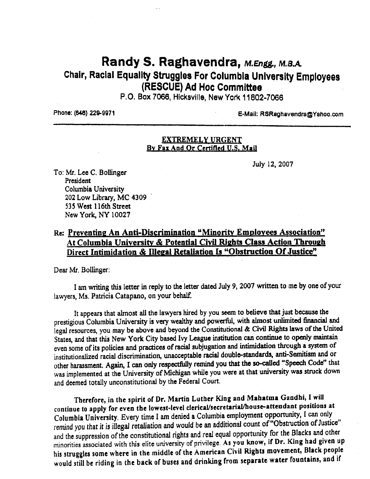### Randy S. Raghavendra, M.Engg., M.B.A. Chair, Racial Equality Struggles For Columbia University Employees (RESCUE) Ad Hoc Committee

P.O. Box 7066, Hicksville, New York 11802-7066

Phone: (646) 229-9971

E-Mail: RSRaghavendra@Yahoo.com

#### **EXTREMELY URGENT** By Fax And Or Certified U.S. Mail

July 12, 2007

To: Mr. Lee C. Bollinger President Columbia University 202 Low Library, MC 4309 535 West 116th Street New York, NY 10027

#### Re: Preventing An Anti-Discrimination "Minority Employees Association" At Columbia University & Potential Civil Rights Class Action Through Direct Intimidation & Illegal Retaliation Is "Obstruction Of Justice"

Dear Mr. Bollinger:

I am writing this letter in reply to the letter dated July 9, 2007 written to me by one of your lawyers, Ms. Patricia Catapano, on your behalf.

It appears that almost all the lawyers hired by you seem to believe that just because the prestigious Columbia University is very wealthy and powerful, with almost unlimited financial and legal resources, you may be above and beyond the Constitutional & Civil Rights laws of the United States, and that this New York City based Ivy League institution can continue to openly maintain even some of its policies and practices of racial subjugation and intimidation through a system of institutionalized racial discrimination, unacceptable racial double-standards, anti-Semitism and or other harassment. Again, I can only respectfully remind you that the so-called "Speech Code" that was implemented at the University of Michigan while you were at that university was struck down and deemed totally unconstitutional by the Federal Court.

Therefore, in the spirit of Dr. Martin Luther King and Mahatma Gandhi, I will continue to apply for even the lowest-level clerical/secretarial/house-attendant positions at Columbia University. Every time I am denied a Columbia employment opportunity, I can only remind you that it is illegal retaliation and would be an additional count of "Obstruction of Justice" and the suppression of the constitutional rights and real equal opportunity for the Blacks and other minorities associated with this elite university of privilege. As you know, if Dr. King had given up his struggles some where in the middle of the American Civil Rights movement, Black people would still be riding in the back of buses and drinking from separate water fountains, and if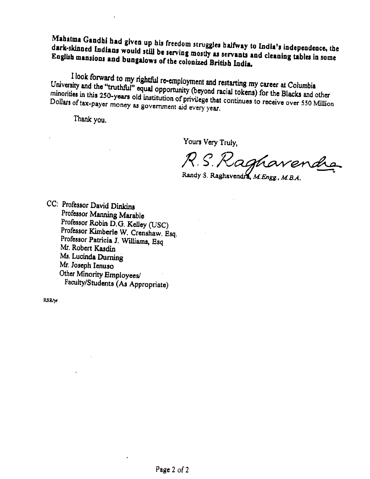Mahatma Gandhi had given up his freedom struggles halfway to India's independence, the dark-skinned Indians would still be serving mostly as servants and cleaning tables in some English mansions and bungalows of the colonized British India.

I look forward to my rightful re-employment and restarting my career at Columbia University and the "truthful" equal opportunity (beyond racial tokens) for the Blacks and other minorities in this 250-years old institution of privilege that continues to receive over 550 Million Dollars of tax-payer money as government aid every year.

Thank you.

Yours Very Truly,

R.S. Raghavende

Randy S. Raghavendra, M. Engg., M. B.A.

CC: Professor David Dinkins Professor Manning Marable Professor Robin D.G. Kelley (USC) Professor Kimberle W. Crenshaw. Esq. Professor Patricia J. Williams, Esq Mr. Robert Kasdin Ms. Lucinda Durning Mr. Joseph Ienuso Other Minority Employees/ Faculty/Students (As Appropriate)

**RSR/yr**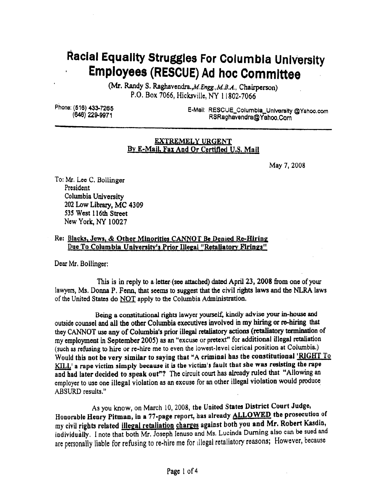# Racial Equality Struggles For Columbia University **Employees (RESCUE) Ad hoc Committee**

(Mr. Randy S. Raghavendra., M. Engg., M. B.A., Chairperson) P.O. Box 7066, Hicksville, NY 11802-7066

Phone: (516) 433-7265 (648) 229-9971

E-Mail: RESCUE\_Columbia\_University @Yahoo.com RSRaghavendra@Yahoo.Corn

#### **EXTREMELY URGENT** By E-Mail, Fax And Or Certified U.S. Mail

May 7, 2008

To: Mr. Lee C. Bollinger President Columbia University 202 Low Library, MC 4309 535 West 116th Street New York, NY 10027

#### Re: Blacks, Jews, & Other Minorities CANNOT Be Denied Re-Hiring Due To Columbia University's Prior Illegal "Retaliatory Firings"

Dear Mr. Bollinger:

This is in reply to a letter (see attached) dated April 23, 2008 from one of your lawyers, Ms. Donna P. Fenn, that seems to suggest that the civil rights laws and the NLRA laws of the United States do NOT apply to the Columbia Administration.

Being a constitutional rights lawyer yourself, kindly advise your in-house and outside counsel and all the other Columbia executives involved in my hiring or re-hiring that they CANNOT use any of Columbia's prior illegal retaliatory actions (retaliatory termination of my employment in September 2005) as an "excuse or pretext" for additional illegal retaliation (such as refusing to hire or re-hire me to even the lowest-level clerical position at Columbia.) Would this not be very similar to saying that "A criminal has the constitutional 'RIGHT To KILL' a rape victim simply because it is the victim's fault that she was resisting the rape and had later decided to speak out"? The circuit court has already ruled that "Allowing an employer to use one illegal violation as an excuse for an other illegal violation would produce ABSURD results."

As you know, on March 10, 2008, the United States District Court Judge, Honorable Henry Pitman, in a 77-page report, has already **ALLOWED** the prosecution of my civil rights related illegal retaliation charges against both you and Mr. Robert Kasdin, individually. I note that both Mr. Joseph Jenuso and Ms. Lucinda Durning also can be sued and are personally liable for refusing to re-hire me for illegal retaliatory reasons; However, because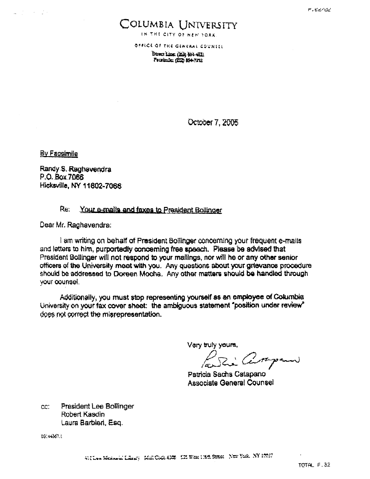### COLUMBIA UNIVERSITY

IN THE CITY OF NEW YORK

OFFICE OF THE GENERAL COUNTEL

Direct Line: (212) 364-4521 Promine (212) 854-7292

October 7, 2005

By Facsimile

Randy S. Raghavendra P.O. Box 7066 Hicksville, NY 11802-7068

#### Re: Your e-mails and faxes to President Bollinger

Dear Mr. Raghavendra:

I am writing on behalf of President Bollinger concerning your frequent e-mails and letters to him, purportedly concerning free speech. Please be advised that President Bollinger will not respond to your mailings, nor will he or any other senior officers of the University meet with you. Any questions about your grievance procedure should be addressed to Doreen Moche. Any other matters should be handled through your counsel.

Additionally, you must stop representing yourself as an employee of Columbia University on your fax cover sheet: the ambiguous statement "position under review" does not correct the misrepresentation.

Vary truly yours,

P. Rie Centerpound

Patricia Sachs Catapano **Associate General Counsel** 

cc: President Lee Bollinger Robert Kasdin Laura Barbleri, Esq.

03.44367.1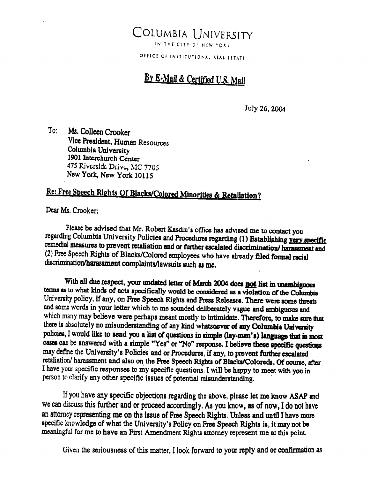### Columbia University IN THE CITY OF NEW YORK

OFFICE OF INSTITUTIONAL REAL ESTATE

### By E-Mail & Certified U.S. Mail

July 26, 2004

 $\mathop{\mathrm{To}}$ : Ms. Colleen Crooker Vice President, Human Resources Columbia University 1901 Interchurch Center 475 Riverside Drive, MC 7705 New York, New York 10115

# Re: Free Speech Rights Of Blacks/Colored Minorities & Retaliation?

Dear Ms. Crooker:

Please be advised that Mr. Robert Kasdin's office has advised me to contact you regarding Columbia University Policies and Procedures regarding (1) Establishing yery specific remedial measures to prevent retaliation and or further escalated discrimination/harassment and (2) Free Speech Rights of Blacks/Colored employees who have already filed formal racial discrimination/harassment complaints/lawsuits such as me.

With all due respect, your undated letter of March 2004 does not list in unambiguous terms as to what kinds of acts specifically would be considered as a violation of the Columbia University policy, if any, on Free Speech Rights and Press Releases. There were some threats and some words in your letter which to me sounded deliberately vague and ambiguous and which many may believe were perhaps meant mostly to intimidate. Therefore, to make sure that there is absolutely no misunderstanding of any kind whatsoever of any Columbia University policies, I would like to send you a list of questions in simple (lay-man's) language that in most cases can be answered with a simple "Yes" or "No" response. I believe these specific questions may define the University's Policies and or Procedures, if any, to prevent further escalated retaliation/ harassment and also on the Free Speech Rights of Blacks/Coloreds. Of course, after I have your specific responses to my specific questions, I will be happy to meet with you in person to clarify any other specific issues of potential misunderstanding.

If you have any specific objections regarding the above, please let me know ASAP and we can discuss this further and or proceed accordingly. As you know, as of now, I do not have an attorncy representing me on the issue of Free Speech Rights. Unless and until I have more specific knowledge of what the University's Policy on Free Speech Rights is, it may not be meaningful for me to have an First Amendment Rights attorney represent me at this point.

Given the seriousness of this matter, I look forward to your reply and or confirmation as